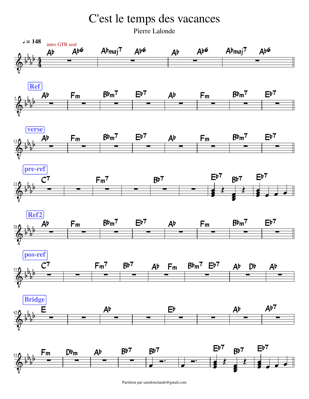## C'est le temps des vacances

Pierre Lalonde



Partition par saindonclaude@gmail.com